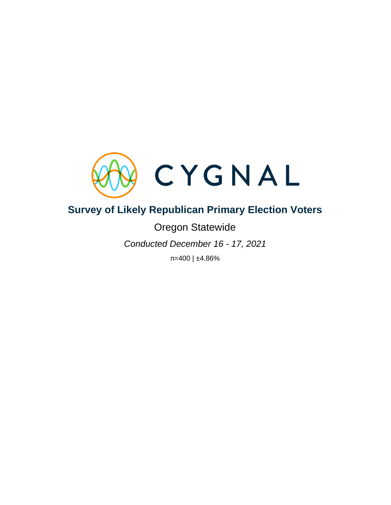

# **Survey of Likely Republican Primary Election Voters**

# Oregon Statewide

*Conducted December 16 - 17, 2021*

n=400 | ±4.86%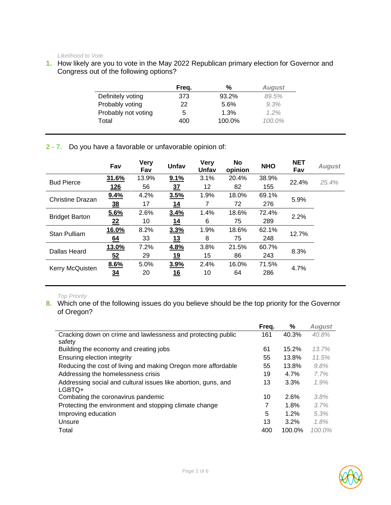#### *Likelihood to Vote*

**1.** How likely are you to vote in the May 2022 Republican primary election for Governor and Congress out of the following options?

|                     | Freg. | %      | <b>August</b> |
|---------------------|-------|--------|---------------|
| Definitely voting   | 373   | 93.2%  | 89.5%         |
| Probably voting     | 22    | 5.6%   | 9.3%          |
| Probably not voting | 5     | 1.3%   | $1.2\%$       |
| Total               | 400   | 100.0% | $100.0\%$     |

**2 - 7.** Do you have a favorable or unfavorable opinion of:

|                         | Fav            | <b>Very</b><br>Fav | Unfav           | Very<br>Unfav | No<br>opinion | <b>NHO</b> | <b>NET</b><br>Fav | <b>August</b> |
|-------------------------|----------------|--------------------|-----------------|---------------|---------------|------------|-------------------|---------------|
| <b>Bud Pierce</b>       | 31.6%          | 13.9%              | 9.1%            | 3.1%          | 20.4%         | 38.9%      | 22.4%             | 25.4%         |
|                         | 126            | 56                 | $\overline{37}$ | 12            | 82            | 155        |                   |               |
| <b>Christine Drazan</b> | 9.4%           | 4.2%               | 3.5%            | 1.9%          | 18.0%         | 69.1%      | 5.9%              |               |
|                         | $\frac{38}{1}$ | 17                 | <u>14</u>       | 7             | 72            | 276        |                   |               |
|                         | 5.6%           | 2.6%               | 3.4%            | 1.4%          | 18.6%         | 72.4%      |                   |               |
| <b>Bridget Barton</b>   | 22             | 10                 | 14              | 6             | 75            | 289        | 2.2%              |               |
| Stan Pulliam            | 16.0%          | 8.2%               | 3.3%            | 1.9%          | 18.6%         | 62.1%      |                   |               |
|                         | 64             | 33                 | 13              | 8             | 75            | 248        | 12.7%             |               |
| Dallas Heard            | 13.0%          | 7.2%               | 4.8%            | 3.8%          | 21.5%         | 60.7%      | 8.3%              |               |
|                         | 52             | 29                 | <u>19</u>       | 15            | 86            | 243        |                   |               |
|                         | 8.6%           | 5.0%               | 3.9%            | 2.4%          | 16.0%         | 71.5%      |                   |               |
| Kerry McQuisten         | 34             | 20                 | 16              | 10            | 64            | 286        | 4.7%              |               |

#### *Top Priority*

8. Which one of the following issues do you believe should be the top priority for the Governor of Oregon?

|                                                                | Freq. | ℅       | <b>August</b> |
|----------------------------------------------------------------|-------|---------|---------------|
| Cracking down on crime and lawlessness and protecting public   | 161   | 40.3%   | 40.8%         |
| safety                                                         |       |         |               |
| Building the economy and creating jobs                         | 61    | 15.2%   | 13.7%         |
| Ensuring election integrity                                    | 55    | 13.8%   | 11.5%         |
| Reducing the cost of living and making Oregon more affordable  | 55    | 13.8%   | 9.8%          |
| Addressing the homelessness crisis                             | 19    | 4.7%    | 7.7%          |
| Addressing social and cultural issues like abortion, guns, and | 13    | 3.3%    | 1.9%          |
| LGBTQ+                                                         |       |         |               |
| Combating the coronavirus pandemic                             | 10    | 2.6%    | 3.8%          |
| Protecting the environment and stopping climate change         | 7     | 1.8%    | 3.7%          |
| Improving education                                            | 5     | 1.2%    | 5.3%          |
| Unsure                                                         | 13    | $3.2\%$ | 1.8%          |
| Total                                                          | 400   | 100.0%  | $100.0\%$     |

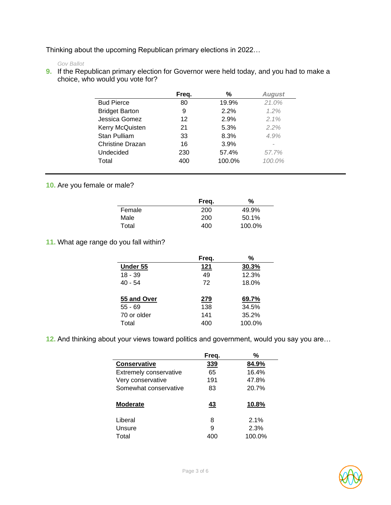Thinking about the upcoming Republican primary elections in 2022…

#### *Gov Ballot*

**9.** If the Republican primary election for Governor were held today, and you had to make a choice, who would you vote for?

|                       | Freq. | %      | <b>August</b> |
|-----------------------|-------|--------|---------------|
| <b>Bud Pierce</b>     | 80    | 19.9%  | 21.0%         |
| <b>Bridget Barton</b> | 9     | 2.2%   | $1.2\%$       |
| Jessica Gomez         | 12    | 2.9%   | 2.1%          |
| Kerry McQuisten       | 21    | 5.3%   | 2.2%          |
| Stan Pulliam          | 33    | 8.3%   | 4.9%          |
| Christine Drazan      | 16    | 3.9%   |               |
| Undecided             | 230   | 57.4%  | 57.7%         |
| Total                 | 400   | 100.0% | $100.0\%$     |

## **10.** Are you female or male?

|        | Freq. | ℅      |
|--------|-------|--------|
| Female | 200   | 49.9%  |
| Male   | 200   | 50.1%  |
| Total  | 400   | 100.0% |

## **11.** What age range do you fall within?

|             | Freq. | %      |
|-------------|-------|--------|
| Under 55    | 121   | 30.3%  |
| $18 - 39$   | 49    | 12.3%  |
| $40 - 54$   | 72    | 18.0%  |
|             |       |        |
| 55 and Over | 279   | 69.7%  |
| $55 - 69$   | 138   | 34.5%  |
| 70 or older | 141   | 35.2%  |
| Total       | 400   | 100.0% |

**12.** And thinking about your views toward politics and government, would you say you are…

|                               | Freq. | ℅      |
|-------------------------------|-------|--------|
| <b>Conservative</b>           | 339   | 84.9%  |
| <b>Extremely conservative</b> | 65    | 16.4%  |
| Very conservative             | 191   | 47.8%  |
| Somewhat conservative         | 83    | 20.7%  |
| <b>Moderate</b>               | 43    | 10.8%  |
| Liberal                       | 8     | 2.1%   |
| Unsure                        | 9     | 2.3%   |
| Total                         |       | 100.0% |

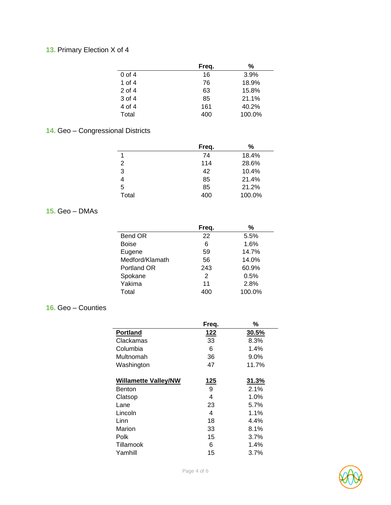# **13.** Primary Election X of 4

|          | Freq. | %      |
|----------|-------|--------|
| $0$ of 4 | 16    | 3.9%   |
| 1 of $4$ | 76    | 18.9%  |
| $2$ of 4 | 63    | 15.8%  |
| 3 of 4   | 85    | 21.1%  |
| 4 of 4   | 161   | 40.2%  |
| Total    | 400   | 100.0% |

# **14.** Geo – Congressional Districts

|       | Freq. | %      |
|-------|-------|--------|
| 1     | 74    | 18.4%  |
| 2     | 114   | 28.6%  |
| 3     | 42    | 10.4%  |
|       | 85    | 21.4%  |
| 5     | 85    | 21.2%  |
| Total | 400   | 100.0% |

## **15.** Geo – DMAs

|                 | Freq.          | %      |
|-----------------|----------------|--------|
| Bend OR         | 22             | 5.5%   |
| <b>Boise</b>    | 6              | 1.6%   |
| Eugene          | 59             | 14.7%  |
| Medford/Klamath | 56             | 14.0%  |
| Portland OR     | 243            | 60.9%  |
| Spokane         | $\overline{2}$ | 0.5%   |
| Yakima          | 11             | 2.8%   |
| Total           | 400            | 100.0% |

## **16.** Geo – Counties

|                             | Freq.       | %     |
|-----------------------------|-------------|-------|
| <b>Portland</b>             | 122         | 30.5% |
| Clackamas                   | 33          | 8.3%  |
| Columbia                    | 6           | 1.4%  |
| Multnomah                   | 36          | 9.0%  |
| Washington                  | 47          | 11.7% |
|                             |             |       |
| <b>Willamette Valley/NW</b> | <u> 125</u> | 31.3% |
| Benton                      | 9           | 2.1%  |
| Clatsop                     | 4           | 1.0%  |
| Lane                        | 23          | 5.7%  |
| Lincoln                     | 4           | 1.1%  |
| Linn                        | 18          | 4.4%  |
| Marion                      | 33          | 8.1%  |
| Polk                        | 15          | 3.7%  |
| Tillamook                   | 6           | 1.4%  |
| Yamhill                     | 15          | 3.7%  |

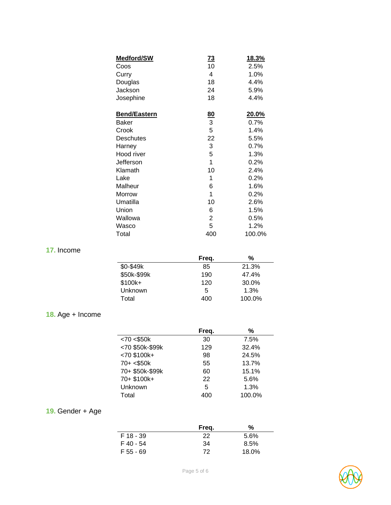| <b>Medford/SW</b>   | $\overline{73}$ | <u>18.3%</u> |
|---------------------|-----------------|--------------|
| Coos                | 10              | 2.5%         |
| Curry               | 4               | 1.0%         |
| Douglas             | 18              | 4.4%         |
| Jackson             | 24              | 5.9%         |
| Josephine           | 18              | 4.4%         |
| <b>Bend/Eastern</b> |                 | 20.0%        |
| Baker               | $\frac{80}{3}$  | 0.7%         |
| Crook               | 5               | 1.4%         |
| <b>Deschutes</b>    | 22              | 5.5%         |
| Harney              | 3               | 0.7%         |
| Hood river          | 5               | 1.3%         |
| Jefferson           | 1               | 0.2%         |
| Klamath             | 10              | 2.4%         |
| Lake                | 1               | 0.2%         |
| Malheur             | 6               | 1.6%         |
| Morrow              | 1               | 0.2%         |
| Umatilla            | 10              | 2.6%         |
| Union               | 6               | 1.5%         |
| Wallowa             | $\overline{2}$  | 0.5%         |
| Wasco               | 5               | 1.2%         |
| Total               | 400             | 100.0%       |

# **17.** Income

|             | Freq. | %      |
|-------------|-------|--------|
| \$0-\$49k   | 85    | 21.3%  |
| \$50k-\$99k | 190   | 47.4%  |
| \$100k+     | 120   | 30.0%  |
| Unknown     | 5     | 1.3%   |
| Total       | 400   | 100.0% |

# **18.** Age + Income

|                 | Freq. | %      |
|-----------------|-------|--------|
| < 70 < \$50k    | 30    | 7.5%   |
| <70 \$50k-\$99k | 129   | 32.4%  |
| $< 70$ \$100k+  | 98    | 24.5%  |
| $70 + < $50k$   | 55    | 13.7%  |
| 70+ \$50k-\$99k | 60    | 15.1%  |
| 70+ \$100k+     | 22    | 5.6%   |
| Unknown         | 5     | 1.3%   |
| Total           | 400   | 100.0% |

# **19.** Gender + Age

|           | Freq. | %     |
|-----------|-------|-------|
| F 18 - 39 | 22    | 5.6%  |
| F 40 - 54 | 34    | 8.5%  |
| F 55 - 69 | 72    | 18.0% |